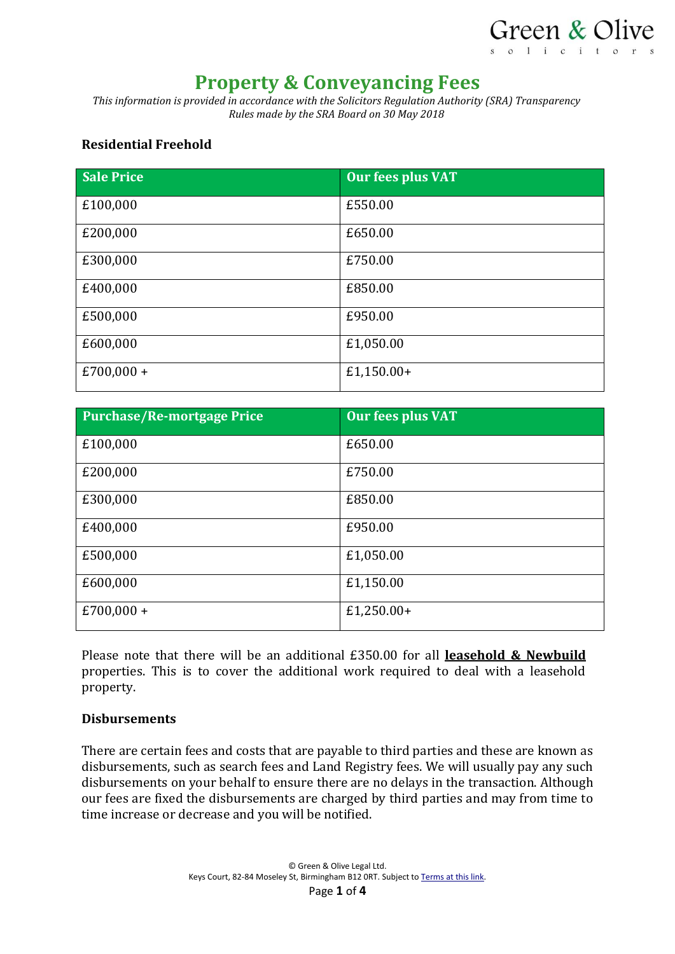

# **Property & Conveyancing Fees**

*This information is provided in accordance with the Solicitors Regulation Authority (SRA) Transparency Rules made by the SRA Board on 30 May 2018*

#### **Residential Freehold**

| <b>Sale Price</b> | <b>Our fees plus VAT</b> |
|-------------------|--------------------------|
| £100,000          | £550.00                  |
| £200,000          | £650.00                  |
| £300,000          | £750.00                  |
| £400,000          | £850.00                  |
| £500,000          | £950.00                  |
| £600,000          | £1,050.00                |
| $£700,000+$       | $£1,150.00+$             |

| <b>Purchase/Re-mortgage Price</b> | <b>Our fees plus VAT</b> |
|-----------------------------------|--------------------------|
| £100,000                          | £650.00                  |
| £200,000                          | £750.00                  |
| £300,000                          | £850.00                  |
| £400,000                          | £950.00                  |
| £500,000                          | £1,050.00                |
| £600,000                          | £1,150.00                |
| $£700,000+$                       | £1,250.00+               |

Please note that there will be an additional £350.00 for all **leasehold & Newbuild** properties. This is to cover the additional work required to deal with a leasehold property.

#### **Disbursements**

There are certain fees and costs that are payable to third parties and these are known as disbursements, such as search fees and Land Registry fees. We will usually pay any such disbursements on your behalf to ensure there are no delays in the transaction. Although our fees are fixed the disbursements are charged by third parties and may from time to time increase or decrease and you will be notified.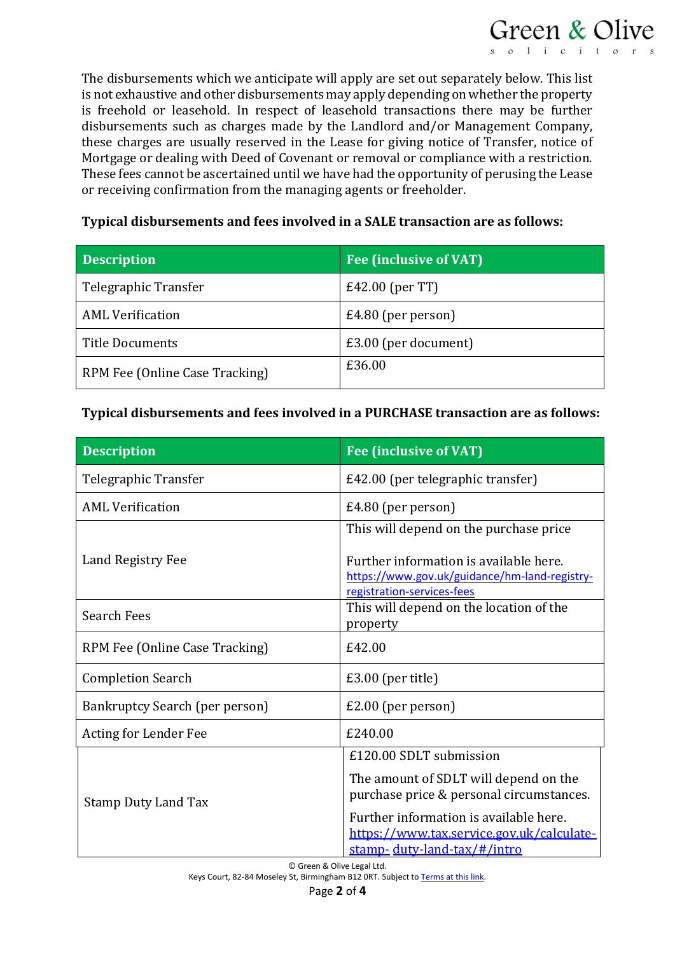

The disbursements which we anticipate will apply are set out separately below. This list is not exhaustive and other disbursements may apply depending on whether the property is freehold or leasehold. In respect of leasehold transactions there may be further disbursements such as charges made by the Landlord and/or Management Company, these charges are usually reserved in the Lease for giving notice of Transfer, notice of Mortgage or dealing with Deed of Covenant or removal or compliance with a restriction. These fees cannot be ascertained until we have had the opportunity of perusing the Lease or receiving confirmation from the managing agents or freeholder.

## **Typical disbursements and fees involved in a SALE transaction are as follows:**

| <b>Description</b>             | <b>Fee (inclusive of VAT)</b> |
|--------------------------------|-------------------------------|
| Telegraphic Transfer           | $E42.00$ (per TT)             |
| <b>AML Verification</b>        | $E4.80$ (per person)          |
| Title Documents                | £3.00 (per document)          |
| RPM Fee (Online Case Tracking) | £36.00                        |

## **Typical disbursements and fees involved in a PURCHASE transaction are as follows:**

| <b>Description</b>             | <b>Fee (inclusive of VAT)</b>                                                                                         |
|--------------------------------|-----------------------------------------------------------------------------------------------------------------------|
| Telegraphic Transfer           | £42.00 (per telegraphic transfer)                                                                                     |
| <b>AML Verification</b>        | £4.80 (per person)                                                                                                    |
|                                | This will depend on the purchase price                                                                                |
| Land Registry Fee              | Further information is available here.<br>https://www.gov.uk/guidance/hm-land-registry-<br>registration-services-fees |
| <b>Search Fees</b>             | This will depend on the location of the<br>property                                                                   |
| RPM Fee (Online Case Tracking) | £42.00                                                                                                                |
| <b>Completion Search</b>       | $£3.00$ (per title)                                                                                                   |
| Bankruptcy Search (per person) | $£2.00$ (per person)                                                                                                  |
| Acting for Lender Fee          | £240.00                                                                                                               |
| <b>Stamp Duty Land Tax</b>     | £120.00 SDLT submission                                                                                               |
|                                | The amount of SDLT will depend on the<br>purchase price & personal circumstances.                                     |
|                                | Further information is available here.<br>https://www.tax.service.gov.uk/calculate-<br>stamp- duty-land-tax/#/intro   |

© Green & Olive Legal Ltd.

Keys Court, 82-84 Moseley St, Birmingham B12 ORT. Subject t[o Terms at this link.](https://www.greenandolive.co.uk/terms/)